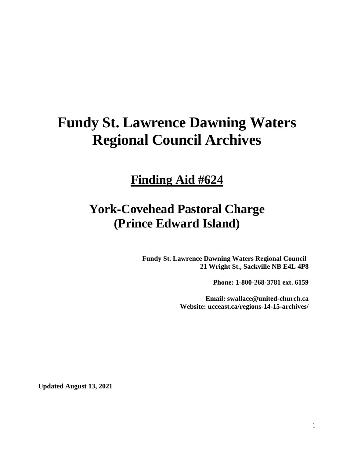# **Fundy St. Lawrence Dawning Waters Regional Council Archives**

## **Finding Aid #624**

## **York-Covehead Pastoral Charge (Prince Edward Island)**

**Fundy St. Lawrence Dawning Waters Regional Council 21 Wright St., Sackville NB E4L 4P8**

**Phone: 1-800-268-3781 ext. 6159**

**Email: swallace@united-church.ca Website: ucceast.ca/regions-14-15-archives/**

**Updated August 13, 2021**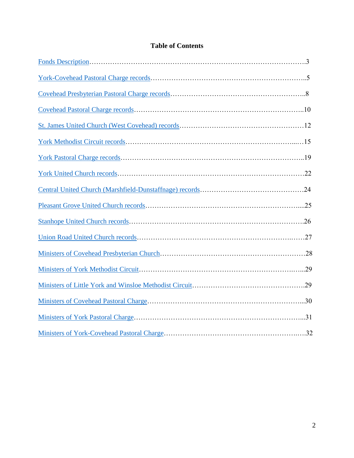## **Table of Contents**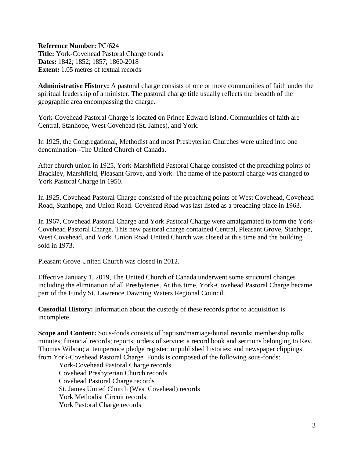<span id="page-2-0"></span>**Reference Number:** PC/624 **Title:** York-Covehead Pastoral Charge fonds **Dates:** 1842; 1852; 1857; 1860-2018 **Extent:** 1.05 metres of textual records

**Administrative History:** A pastoral charge consists of one or more communities of faith under the spiritual leadership of a minister. The pastoral charge title usually reflects the breadth of the geographic area encompassing the charge.

York-Covehead Pastoral Charge is located on Prince Edward Island. Communities of faith are Central, Stanhope, West Covehead (St. James), and York.

In 1925, the Congregational, Methodist and most Presbyterian Churches were united into one denomination--The United Church of Canada.

After church union in 1925, York-Marshfield Pastoral Charge consisted of the preaching points of Brackley, Marshfield, Pleasant Grove, and York. The name of the pastoral charge was changed to York Pastoral Charge in 1950.

In 1925, Covehead Pastoral Charge consisted of the preaching points of West Covehead, Covehead Road, Stanhope, and Union Road. Covehead Road was last listed as a preaching place in 1963.

In 1967, Covehead Pastoral Charge and York Pastoral Charge were amalgamated to form the York-Covehead Pastoral Charge. This new pastoral charge contained Central, Pleasant Grove, Stanhope, West Covehead, and York. Union Road United Church was closed at this time and the building sold in 1973.

Pleasant Grove United Church was closed in 2012.

Effective January 1, 2019, The United Church of Canada underwent some structural changes including the elimination of all Presbyteries. At this time, York-Covehead Pastoral Charge became part of the Fundy St. Lawrence Dawning Waters Regional Council.

**Custodial History:** Information about the custody of these records prior to acquisition is incomplete.

**Scope and Content:** Sous-fonds consists of baptism/marriage/burial records; membership rolls; minutes; financial records; reports; orders of service; a record book and sermons belonging to Rev. Thomas Wilson; a temperance pledge register; unpublished histories; and newspaper clippings from York-Covehead Pastoral Charge Fonds is composed of the following sous-fonds:

York-Covehead Pastoral Charge records Covehead Presbyterian Church records Covehead Pastoral Charge records St. James United Church (West Covehead) records York Methodist Circuit records York Pastoral Charge records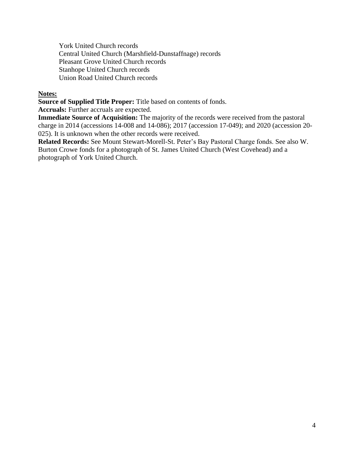York United Church records Central United Church (Marshfield-Dunstaffnage) records Pleasant Grove United Church records Stanhope United Church records Union Road United Church records

#### **Notes:**

**Source of Supplied Title Proper:** Title based on contents of fonds.

**Accruals:** Further accruals are expected.

**Immediate Source of Acquisition:** The majority of the records were received from the pastoral charge in 2014 (accessions 14-008 and 14-086); 2017 (accession 17-049); and 2020 (accession 20- 025). It is unknown when the other records were received.

**Related Records:** See Mount Stewart-Morell-St. Peter's Bay Pastoral Charge fonds. See also W. Burton Crowe fonds for a photograph of St. James United Church (West Covehead) and a photograph of York United Church.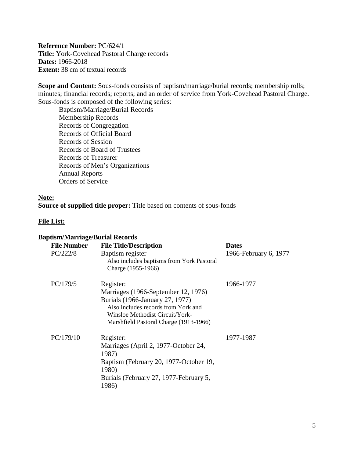<span id="page-4-0"></span>**Reference Number:** PC/624/1 **Title:** York-Covehead Pastoral Charge records **Dates:** 1966-2018 **Extent:** 38 cm of textual records

**Scope and Content:** Sous-fonds consists of baptism/marriage/burial records; membership rolls; minutes; financial records; reports; and an order of service from York-Covehead Pastoral Charge. Sous-fonds is composed of the following series:

Baptism/Marriage/Burial Records Membership Records Records of Congregation Records of Official Board Records of Session Records of Board of Trustees Records of Treasurer Records of Men's Organizations Annual Reports Orders of Service

#### **Note:**

**Source of supplied title proper:** Title based on contents of sous-fonds

#### **File List:**

#### **Baptism/Marriage/Burial Records**

| <b>File Number</b><br>PC/222/8 | <b>File Title/Description</b><br>Baptism register<br>Also includes baptisms from York Pastoral<br>Charge (1955-1966)                                                                                    | <b>Dates</b><br>1966-February 6, 1977 |
|--------------------------------|---------------------------------------------------------------------------------------------------------------------------------------------------------------------------------------------------------|---------------------------------------|
| PC/179/5                       | Register:<br>Marriages (1966-September 12, 1976)<br>Burials (1966-January 27, 1977)<br>Also includes records from York and<br>Winsloe Methodist Circuit/York-<br>Marshfield Pastoral Charge (1913-1966) | 1966-1977                             |
| PC/179/10                      | Register:<br>Marriages (April 2, 1977-October 24,<br>1987)<br>Baptism (February 20, 1977-October 19,<br><b>1980</b> )<br>Burials (February 27, 1977-February 5,<br>1986)                                | 1977-1987                             |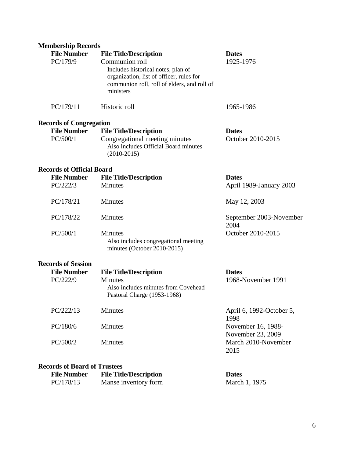## **Membership Records**

| <b>File Number</b><br>PC/179/9   | <b>File Title/Description</b><br>Communion roll<br>Includes historical notes, plan of<br>organization, list of officer, rules for<br>communion roll, roll of elders, and roll of<br>ministers | <b>Dates</b><br>1925-1976               |
|----------------------------------|-----------------------------------------------------------------------------------------------------------------------------------------------------------------------------------------------|-----------------------------------------|
| PC/179/11                        | Historic roll                                                                                                                                                                                 | 1965-1986                               |
| <b>Records of Congregation</b>   |                                                                                                                                                                                               |                                         |
| <b>File Number</b><br>PC/500/1   | <b>File Title/Description</b><br>Congregational meeting minutes<br>Also includes Official Board minutes<br>$(2010-2015)$                                                                      | <b>Dates</b><br>October 2010-2015       |
| <b>Records of Official Board</b> |                                                                                                                                                                                               |                                         |
| <b>File Number</b><br>PC/222/3   | <b>File Title/Description</b><br>Minutes                                                                                                                                                      | <b>Dates</b><br>April 1989-January 2003 |
| PC/178/21                        | Minutes                                                                                                                                                                                       | May 12, 2003                            |
| PC/178/22                        | Minutes                                                                                                                                                                                       | September 2003-November<br>2004         |
| PC/500/1                         | <b>Minutes</b><br>Also includes congregational meeting<br>minutes (October 2010-2015)                                                                                                         | October 2010-2015                       |
| <b>Records of Session</b>        |                                                                                                                                                                                               |                                         |
| <b>File Number</b><br>PC/222/9   | <b>File Title/Description</b><br><b>Minutes</b><br>Also includes minutes from Covehead<br>Pastoral Charge (1953-1968)                                                                         | <b>Dates</b><br>1968-November 1991      |
| PC/222/13                        | Minutes                                                                                                                                                                                       | April 6, 1992-October 5,<br>1998        |
| PC/180/6                         | Minutes                                                                                                                                                                                       | November 16, 1988-<br>November 23, 2009 |
| PC/500/2                         | Minutes                                                                                                                                                                                       | March 2010-November<br>2015             |
|                                  |                                                                                                                                                                                               |                                         |

### **Records of Board of Trustees**

| <b>File Number</b> | <b>File Title/Description</b> | <b>Dates</b>  |
|--------------------|-------------------------------|---------------|
| PC/178/13          | Manse inventory form          | March 1, 1975 |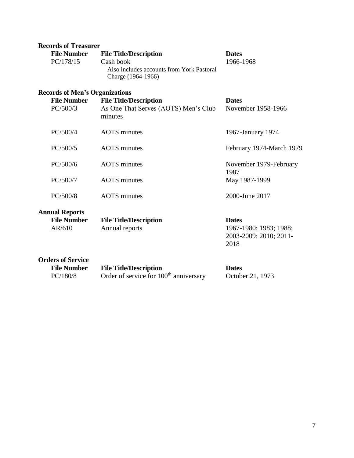| <b>Records of Treasurer</b>           |                                                                 |                                |
|---------------------------------------|-----------------------------------------------------------------|--------------------------------|
| <b>File Number</b>                    | <b>File Title/Description</b>                                   | <b>Dates</b>                   |
| PC/178/15                             | Cash book                                                       | 1966-1968                      |
|                                       | Also includes accounts from York Pastoral<br>Charge (1964-1966) |                                |
| <b>Records of Men's Organizations</b> |                                                                 |                                |
| <b>File Number</b>                    | <b>File Title/Description</b>                                   | <b>Dates</b>                   |
| PC/500/3                              | As One That Serves (AOTS) Men's Club<br>minutes                 | November 1958-1966             |
| PC/500/4                              | <b>AOTS</b> minutes                                             | 1967-January 1974              |
| PC/500/5                              | <b>AOTS</b> minutes                                             | February 1974-March 1979       |
| PC/500/6                              | <b>AOTS</b> minutes                                             | November 1979-February<br>1987 |
| PC/500/7                              | <b>AOTS</b> minutes                                             | May 1987-1999                  |
| PC/500/8                              | <b>AOTS</b> minutes                                             | 2000-June 2017                 |
| <b>Annual Reports</b>                 |                                                                 |                                |
| <b>File Number</b>                    | <b>File Title/Description</b>                                   | <b>Dates</b>                   |
| AR/610                                | Annual reports                                                  | 1967-1980; 1983; 1988;         |
|                                       |                                                                 | 2003-2009; 2010; 2011-         |
|                                       |                                                                 | 2018                           |
| <b>Orders of Service</b>              |                                                                 |                                |
| <b>File Number</b>                    | <b>File Title/Description</b>                                   | <b>Dates</b>                   |
| PC/180/8                              | Order of service for 100 <sup>th</sup> anniversary              | October 21, 1973               |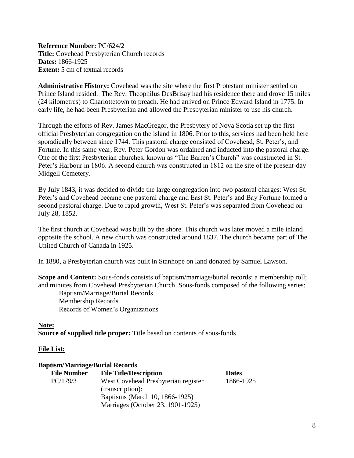<span id="page-7-0"></span>**Reference Number:** PC/624/2 **Title:** Covehead Presbyterian Church records **Dates:** 1866-1925 **Extent:** 5 cm of textual records

**Administrative History:** Covehead was the site where the first Protestant minister settled on Prince Island resided. The Rev. Theophilus DesBrisay had his residence there and drove 15 miles (24 kilometres) to Charlottetown to preach. He had arrived on Prince Edward Island in 1775. In early life, he had been Presbyterian and allowed the Presbyterian minister to use his church.

Through the efforts of Rev. James MacGregor, the Presbytery of Nova Scotia set up the first official Presbyterian congregation on the island in 1806. Prior to this, services had been held here sporadically between since 1744. This pastoral charge consisted of Covehead, St. Peter's, and Fortune. In this same year, Rev. Peter Gordon was ordained and inducted into the pastoral charge. One of the first Presbyterian churches, known as "The Barren's Church" was constructed in St. Peter's Harbour in 1806. A second church was constructed in 1812 on the site of the present-day Midgell Cemetery.

By July 1843, it was decided to divide the large congregation into two pastoral charges: West St. Peter's and Covehead became one pastoral charge and East St. Peter's and Bay Fortune formed a second pastoral charge. Due to rapid growth, West St. Peter's was separated from Covehead on July 28, 1852.

The first church at Covehead was built by the shore. This church was later moved a mile inland opposite the school. A new church was constructed around 1837. The church became part of The United Church of Canada in 1925.

In 1880, a Presbyterian church was built in Stanhope on land donated by Samuel Lawson.

**Scope and Content:** Sous-fonds consists of baptism/marriage/burial records; a membership roll; and minutes from Covehead Presbyterian Church. Sous-fonds composed of the following series:

Baptism/Marriage/Burial Records Membership Records Records of Women's Organizations

#### **Note:**

**Source of supplied title proper:** Title based on contents of sous-fonds

#### **File List:**

#### **Baptism/Marriage/Burial Records**

| <b>File Number</b> | <b>File Title/Description</b>       | <b>Dates</b> |
|--------------------|-------------------------------------|--------------|
| PC/179/3           | West Covehead Presbyterian register | 1866-1925    |
|                    | (transcription):                    |              |
|                    | Baptisms (March 10, 1866-1925)      |              |
|                    | Marriages (October 23, 1901-1925)   |              |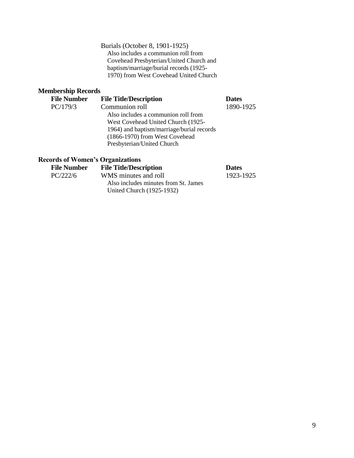Burials (October 8, 1901-1925) Also includes a communion roll from Covehead Presbyterian/United Church and baptism/marriage/burial records (1925- 1970) from West Covehead United Church

## **Membership Records**

| <b>File Number</b> | <b>File Title/Description</b>             | <b>Dates</b> |
|--------------------|-------------------------------------------|--------------|
| PC/179/3           | Communion roll                            | 1890-1925    |
|                    | Also includes a communion roll from       |              |
|                    | West Covehead United Church (1925-        |              |
|                    | 1964) and baptism/marriage/burial records |              |
|                    | (1866-1970) from West Covehead            |              |
|                    | Presbyterian/United Church                |              |
|                    |                                           |              |

## **Records of Women's Organizations**

| <b>File Number</b> | <b>File Title/Description</b>        | <b>Dates</b> |
|--------------------|--------------------------------------|--------------|
| PC/222/6           | WMS minutes and roll                 | 1923-1925    |
|                    | Also includes minutes from St. James |              |
|                    | United Church (1925-1932)            |              |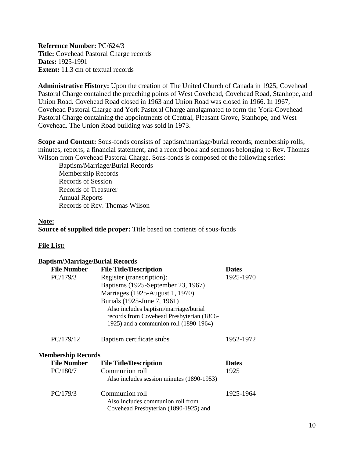<span id="page-9-0"></span>**Reference Number:** PC/624/3 **Title:** Covehead Pastoral Charge records **Dates:** 1925-1991 **Extent:** 11.3 cm of textual records

**Administrative History:** Upon the creation of The United Church of Canada in 1925, Covehead Pastoral Charge contained the preaching points of West Covehead, Covehead Road, Stanhope, and Union Road. Covehead Road closed in 1963 and Union Road was closed in 1966. In 1967, Covehead Pastoral Charge and York Pastoral Charge amalgamated to form the York-Covehead Pastoral Charge containing the appointments of Central, Pleasant Grove, Stanhope, and West Covehead. The Union Road building was sold in 1973.

**Scope and Content:** Sous-fonds consists of baptism/marriage/burial records; membership rolls; minutes; reports; a financial statement; and a record book and sermons belonging to Rev. Thomas Wilson from Covehead Pastoral Charge. Sous-fonds is composed of the following series:

Baptism/Marriage/Burial Records Membership Records Records of Session Records of Treasurer Annual Reports Records of Rev. Thomas Wilson

#### **Note:**

**Source of supplied title proper:** Title based on contents of sous-fonds

| <b>Baptism/Marriage/Burial Records</b> |                                                                                                                              |              |
|----------------------------------------|------------------------------------------------------------------------------------------------------------------------------|--------------|
| <b>File Number</b>                     | <b>File Title/Description</b>                                                                                                | <b>Dates</b> |
| PC/179/3                               | Register (transcription):                                                                                                    | 1925-1970    |
|                                        | Baptisms (1925-September 23, 1967)                                                                                           |              |
|                                        | Marriages (1925-August 1, 1970)                                                                                              |              |
|                                        | Burials (1925-June 7, 1961)                                                                                                  |              |
|                                        | Also includes baptism/marriage/burial<br>records from Covehead Presbyterian (1866-<br>1925) and a communion roll (1890-1964) |              |
| PC/179/12                              | Baptism certificate stubs                                                                                                    | 1952-1972    |
| <b>Membership Records</b>              |                                                                                                                              |              |
| <b>File Number</b>                     | <b>File Title/Description</b>                                                                                                | <b>Dates</b> |
| PC/180/7                               | Communion roll<br>Also includes session minutes (1890-1953)                                                                  | 1925         |
| PC/179/3                               | Communion roll<br>Also includes communion roll from<br>Covehead Presbyterian (1890-1925) and                                 | 1925-1964    |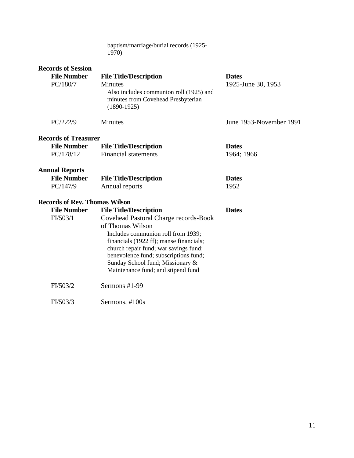| baptism/marriage/burial records (1925- |  |
|----------------------------------------|--|
| 1970)                                  |  |

| <b>Records of Session</b>            |                                                                                                                  |                         |
|--------------------------------------|------------------------------------------------------------------------------------------------------------------|-------------------------|
| <b>File Number</b>                   | <b>File Title/Description</b>                                                                                    | <b>Dates</b>            |
| PC/180/7                             | <b>Minutes</b><br>Also includes communion roll (1925) and<br>minutes from Covehead Presbyterian<br>$(1890-1925)$ | 1925-June 30, 1953      |
| PC/222/9                             | <b>Minutes</b>                                                                                                   | June 1953-November 1991 |
| <b>Records of Treasurer</b>          |                                                                                                                  |                         |
| <b>File Number</b>                   | <b>File Title/Description</b>                                                                                    | <b>Dates</b>            |
| PC/178/12                            | <b>Financial statements</b>                                                                                      | 1964; 1966              |
| <b>Annual Reports</b>                |                                                                                                                  |                         |
| <b>File Number</b>                   | <b>File Title/Description</b>                                                                                    | <b>Dates</b>            |
| PC/147/9                             | Annual reports                                                                                                   | 1952                    |
| <b>Records of Rev. Thomas Wilson</b> |                                                                                                                  |                         |
| <b>File Number</b>                   | <b>File Title/Description</b>                                                                                    | <b>Dates</b>            |
| FI/503/1                             | Covehead Pastoral Charge records-Book                                                                            |                         |
|                                      | of Thomas Wilson                                                                                                 |                         |
|                                      | Includes communion roll from 1939;                                                                               |                         |
|                                      | financials (1922 ff); manse financials;                                                                          |                         |
|                                      | church repair fund; war savings fund;                                                                            |                         |
|                                      | benevolence fund; subscriptions fund;                                                                            |                         |
|                                      | Sunday School fund; Missionary &                                                                                 |                         |
|                                      | Maintenance fund; and stipend fund                                                                               |                         |
| FI/503/2                             | Sermons #1-99                                                                                                    |                         |
| FI/503/3                             | Sermons, #100s                                                                                                   |                         |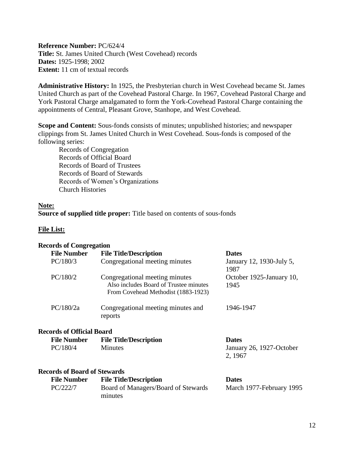<span id="page-11-0"></span>**Reference Number:** PC/624/4 **Title:** St. James United Church (West Covehead) records **Dates:** 1925-1998; 2002 **Extent:** 11 cm of textual records

**Administrative History:** In 1925, the Presbyterian church in West Covehead became St. James United Church as part of the Covehead Pastoral Charge. In 1967, Covehead Pastoral Charge and York Pastoral Charge amalgamated to form the York-Covehead Pastoral Charge containing the appointments of Central, Pleasant Grove, Stanhope, and West Covehead.

**Scope and Content:** Sous-fonds consists of minutes; unpublished histories; and newspaper clippings from St. James United Church in West Covehead. Sous-fonds is composed of the following series:

Records of Congregation Records of Official Board Records of Board of Trustees Records of Board of Stewards Records of Women's Organizations Church Histories

#### **Note:**

**Source of supplied title proper:** Title based on contents of sous-fonds

#### **File List:**

#### **Records of Congregation File Number File Title/Description Dates** PC/180/3 Congregational meeting minutes January 12, 1930-July 5, 1987 PC/180/2 Congregational meeting minutes Also includes Board of Trustee minutes From Covehead Methodist (1883-1923) October 1925-January 10, 1945 PC/180/2a Congregational meeting minutes and reports 1946-1947 **Records of Official Board File Number File Title/Description Dates** PC/180/4 Minutes January 26, 1927-October 2, 1967 **Records of Board of Stewards File Number File Title/Description Dates** PC/222/7 Board of Managers/Board of Stewards minutes March 1977-February 1995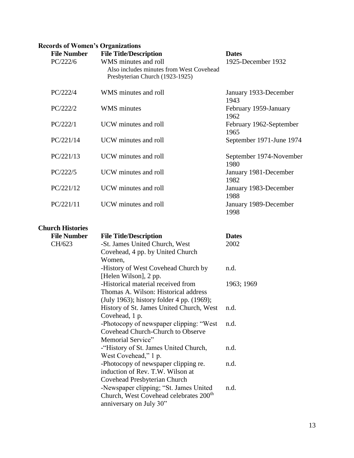## **Records of Women's Organizations**

| <b>File Number</b><br>PC/222/6 | <b>File Title/Description</b><br>WMS minutes and roll<br>Also includes minutes from West Covehead<br>Presbyterian Church (1923-1925) | <b>Dates</b><br>1925-December 1932 |
|--------------------------------|--------------------------------------------------------------------------------------------------------------------------------------|------------------------------------|
| PC/222/4                       | WMS minutes and roll                                                                                                                 | January 1933-December<br>1943      |
| PC/222/2                       | <b>WMS</b> minutes                                                                                                                   | February 1959-January<br>1962      |
| PC/222/1                       | UCW minutes and roll                                                                                                                 | February 1962-September<br>1965    |
| PC/221/14                      | UCW minutes and roll                                                                                                                 | September 1971-June 1974           |
| PC/221/13                      | UCW minutes and roll                                                                                                                 | September 1974-November<br>1980    |
| PC/222/5                       | UCW minutes and roll                                                                                                                 | January 1981-December<br>1982      |
| PC/221/12                      | UCW minutes and roll                                                                                                                 | January 1983-December<br>1988      |
| PC/221/11                      | UCW minutes and roll                                                                                                                 | January 1989-December<br>1998      |

## **Church Histories**

| <b>File Number</b> | <b>File Title/Description</b>                      | <b>Dates</b> |
|--------------------|----------------------------------------------------|--------------|
| CH/623             | -St. James United Church, West                     | 2002         |
|                    | Covehead, 4 pp. by United Church                   |              |
|                    | Women,                                             |              |
|                    | -History of West Covehead Church by                | n.d.         |
|                    | [Helen Wilson], 2 pp.                              |              |
|                    | -Historical material received from                 | 1963; 1969   |
|                    | Thomas A. Wilson: Historical address               |              |
|                    | (July 1963); history folder 4 pp. (1969);          |              |
|                    | History of St. James United Church, West           | n.d.         |
|                    | Covehead, 1 p.                                     |              |
|                    | -Photocopy of newspaper clipping: "West"           | n.d.         |
|                    | <b>Covehead Church-Church to Observe</b>           |              |
|                    | Memorial Service"                                  |              |
|                    | -"History of St. James United Church,              | n.d.         |
|                    | West Covehead," 1 p.                               |              |
|                    | -Photocopy of newspaper clipping re.               | n.d.         |
|                    | induction of Rev. T.W. Wilson at                   |              |
|                    | Covehead Presbyterian Church                       |              |
|                    | -Newspaper clipping; "St. James United             | n.d.         |
|                    | Church, West Covehead celebrates 200 <sup>th</sup> |              |
|                    | anniversary on July 30"                            |              |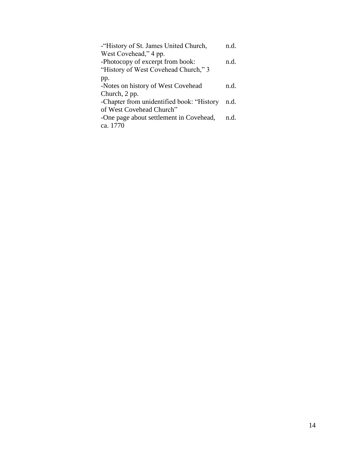| -"History of St. James United Church,     | n d. |
|-------------------------------------------|------|
| West Covehead," 4 pp.                     |      |
| -Photocopy of excerpt from book:          | n d. |
| "History of West Covehead Church," 3      |      |
| pp.                                       |      |
| -Notes on history of West Covehead        | n.d. |
| Church, 2 pp.                             |      |
| -Chapter from unidentified book: "History | n.d. |
| of West Covehead Church"                  |      |
| -One page about settlement in Covehead,   | n d. |
| ca. 1770                                  |      |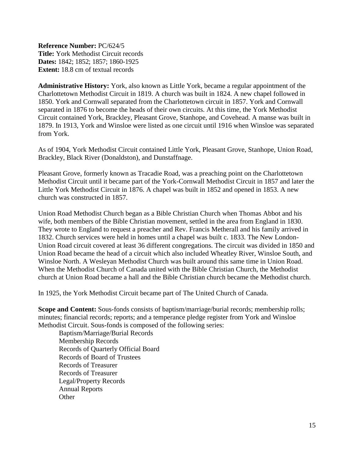<span id="page-14-0"></span>**Reference Number:** PC/624/5 **Title:** York Methodist Circuit records **Dates:** 1842; 1852; 1857; 1860-1925 **Extent:** 18.8 cm of textual records

**Administrative History:** York, also known as Little York, became a regular appointment of the Charlottetown Methodist Circuit in 1819. A church was built in 1824. A new chapel followed in 1850. York and Cornwall separated from the Charlottetown circuit in 1857. York and Cornwall separated in 1876 to become the heads of their own circuits. At this time, the York Methodist Circuit contained York, Brackley, Pleasant Grove, Stanhope, and Covehead. A manse was built in 1879. In 1913, York and Winsloe were listed as one circuit until 1916 when Winsloe was separated from York.

As of 1904, York Methodist Circuit contained Little York, Pleasant Grove, Stanhope, Union Road, Brackley, Black River (Donaldston), and Dunstaffnage.

Pleasant Grove, formerly known as Tracadie Road, was a preaching point on the Charlottetown Methodist Circuit until it became part of the York-Cornwall Methodist Circuit in 1857 and later the Little York Methodist Circuit in 1876. A chapel was built in 1852 and opened in 1853. A new church was constructed in 1857.

Union Road Methodist Church began as a Bible Christian Church when Thomas Abbot and his wife, both members of the Bible Christian movement, settled in the area from England in 1830. They wrote to England to request a preacher and Rev. Francis Metherall and his family arrived in 1832. Church services were held in homes until a chapel was built c. 1833. The New London-Union Road circuit covered at least 36 different congregations. The circuit was divided in 1850 and Union Road became the head of a circuit which also included Wheatley River, Winsloe South, and Winsloe North. A Wesleyan Methodist Church was built around this same time in Union Road. When the Methodist Church of Canada united with the Bible Christian Church, the Methodist church at Union Road became a hall and the Bible Christian church became the Methodist church.

In 1925, the York Methodist Circuit became part of The United Church of Canada.

**Scope and Content:** Sous-fonds consists of baptism/marriage/burial records; membership rolls; minutes; financial records; reports; and a temperance pledge register from York and Winsloe Methodist Circuit. Sous-fonds is composed of the following series:

Baptism/Marriage/Burial Records Membership Records Records of Quarterly Official Board Records of Board of Trustees Records of Treasurer Records of Treasurer Legal/Property Records Annual Reports **Other**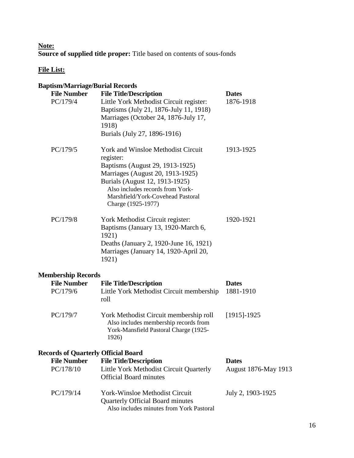## **Note: Source of supplied title proper:** Title based on contents of sous-fonds

| <b>Baptism/Marriage/Burial Records</b>                                        |                                                                                                                                                                                                                                                                |                                      |
|-------------------------------------------------------------------------------|----------------------------------------------------------------------------------------------------------------------------------------------------------------------------------------------------------------------------------------------------------------|--------------------------------------|
| <b>File Number</b><br>PC/179/4                                                | <b>File Title/Description</b><br>Little York Methodist Circuit register:<br>Baptisms (July 21, 1876-July 11, 1918)<br>Marriages (October 24, 1876-July 17,<br>1918)<br>Burials (July 27, 1896-1916)                                                            | <b>Dates</b><br>1876-1918            |
| PC/179/5                                                                      | <b>York and Winsloe Methodist Circuit</b><br>register:<br>Baptisms (August 29, 1913-1925)<br>Marriages (August 20, 1913-1925)<br>Burials (August 12, 1913-1925)<br>Also includes records from York-<br>Marshfield/York-Covehead Pastoral<br>Charge (1925-1977) | 1913-1925                            |
| PC/179/8                                                                      | York Methodist Circuit register:<br>Baptisms (January 13, 1920-March 6,<br>1921)<br>Deaths (January 2, 1920-June 16, 1921)<br>Marriages (January 14, 1920-April 20,<br>1921)                                                                                   | 1920-1921                            |
| <b>Membership Records</b>                                                     |                                                                                                                                                                                                                                                                |                                      |
| <b>File Number</b><br>PC/179/6                                                | <b>File Title/Description</b><br>Little York Methodist Circuit membership<br>roll                                                                                                                                                                              | <b>Dates</b><br>1881-1910            |
| PC/179/7                                                                      | York Methodist Circuit membership roll<br>Also includes membership records from<br>York-Mansfield Pastoral Charge (1925-<br>1926)                                                                                                                              | $[1915]$ -1925                       |
| <b>Records of Quarterly Official Board</b><br><b>File Number</b><br>PC/178/10 | <b>File Title/Description</b><br>Little York Methodist Circuit Quarterly<br><b>Official Board minutes</b>                                                                                                                                                      | <b>Dates</b><br>August 1876-May 1913 |
| PC/179/14                                                                     | <b>York-Winsloe Methodist Circuit</b><br><b>Quarterly Official Board minutes</b><br>Also includes minutes from York Pastoral                                                                                                                                   | July 2, 1903-1925                    |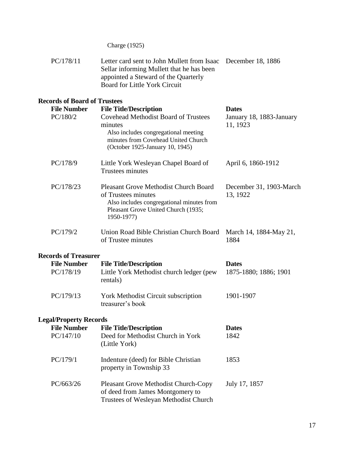Charge (1925)

| PC/178/11                           | Letter card sent to John Mullett from Isaac December 18, 1886<br>Sellar informing Mullett that he has been<br>appointed a Steward of the Quarterly<br><b>Board for Little York Circuit</b> |                                       |
|-------------------------------------|--------------------------------------------------------------------------------------------------------------------------------------------------------------------------------------------|---------------------------------------|
| <b>Records of Board of Trustees</b> |                                                                                                                                                                                            |                                       |
| <b>File Number</b>                  | <b>File Title/Description</b>                                                                                                                                                              | <b>Dates</b>                          |
| PC/180/2                            | <b>Covehead Methodist Board of Trustees</b><br>minutes<br>Also includes congregational meeting<br>minutes from Covehead United Church<br>(October 1925-January 10, 1945)                   | January 18, 1883-January<br>11, 1923  |
| PC/178/9                            | Little York Wesleyan Chapel Board of<br>Trustees minutes                                                                                                                                   | April 6, 1860-1912                    |
| PC/178/23                           | <b>Pleasant Grove Methodist Church Board</b><br>of Trustees minutes<br>Also includes congregational minutes from<br>Pleasant Grove United Church (1935;<br>1950-1977)                      | December 31, 1903-March<br>13, 1922   |
| PC/179/2                            | Union Road Bible Christian Church Board<br>of Trustee minutes                                                                                                                              | March 14, 1884-May 21,<br>1884        |
| <b>Records of Treasurer</b>         |                                                                                                                                                                                            |                                       |
| <b>File Number</b><br>PC/178/19     | <b>File Title/Description</b><br>Little York Methodist church ledger (pew<br>rentals)                                                                                                      | <b>Dates</b><br>1875-1880; 1886; 1901 |
| PC/179/13                           | York Methodist Circuit subscription<br>treasurer's book                                                                                                                                    | 1901-1907                             |
| <b>Legal/Property Records</b>       |                                                                                                                                                                                            |                                       |
| <b>File Number</b>                  | <b>File Title/Description</b>                                                                                                                                                              | <b>Dates</b>                          |
| PC/147/10                           | Deed for Methodist Church in York<br>(Little York)                                                                                                                                         | 1842                                  |
| PC/179/1                            | Indenture (deed) for Bible Christian<br>property in Township 33                                                                                                                            | 1853                                  |
| PC/663/26                           | <b>Pleasant Grove Methodist Church-Copy</b><br>of deed from James Montgomery to<br>Trustees of Wesleyan Methodist Church                                                                   | July 17, 1857                         |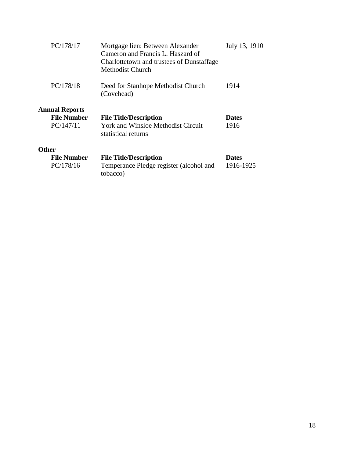| PC/178/17             | Mortgage lien: Between Alexander<br>Cameron and Francis L. Haszard of<br>Charlottetown and trustees of Dunstaffage<br>Methodist Church | July 13, 1910 |
|-----------------------|----------------------------------------------------------------------------------------------------------------------------------------|---------------|
| PC/178/18             | Deed for Stanhope Methodist Church<br>(Covehead)                                                                                       | 1914          |
| <b>Annual Reports</b> |                                                                                                                                        |               |
| <b>File Number</b>    | <b>File Title/Description</b>                                                                                                          | <b>Dates</b>  |
| PC/147/11             | <b>York and Winsloe Methodist Circuit</b><br>statistical returns                                                                       | 1916          |
| <b>Other</b>          |                                                                                                                                        |               |
| <b>File Number</b>    | <b>File Title/Description</b>                                                                                                          | <b>Dates</b>  |
| PC/178/16             | Temperance Pledge register (alcohol and<br>tobacco)                                                                                    | 1916-1925     |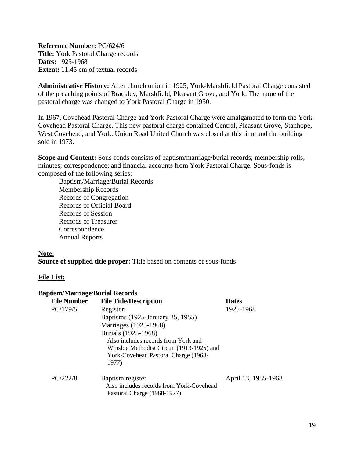<span id="page-18-0"></span>**Reference Number:** PC/624/6 **Title:** York Pastoral Charge records **Dates:** 1925-1968 **Extent:** 11.45 cm of textual records

**Administrative History:** After church union in 1925, York-Marshfield Pastoral Charge consisted of the preaching points of Brackley, Marshfield, Pleasant Grove, and York. The name of the pastoral charge was changed to York Pastoral Charge in 1950.

In 1967, Covehead Pastoral Charge and York Pastoral Charge were amalgamated to form the York-Covehead Pastoral Charge. This new pastoral charge contained Central, Pleasant Grove, Stanhope, West Covehead, and York. Union Road United Church was closed at this time and the building sold in 1973.

**Scope and Content:** Sous-fonds consists of baptism/marriage/burial records; membership rolls; minutes; correspondence; and financial accounts from York Pastoral Charge. Sous-fonds is composed of the following series:

Baptism/Marriage/Burial Records Membership Records Records of Congregation Records of Official Board Records of Session Records of Treasurer Correspondence Annual Reports

#### **Note: Source of supplied title proper:** Title based on contents of sous-fonds

#### **File List:**

#### **Baptism/Marriage/Burial Records**

| <b>File Number</b> | <b>File Title/Description</b>             | <b>Dates</b>        |
|--------------------|-------------------------------------------|---------------------|
| PC/179/5           | Register:                                 | 1925-1968           |
|                    | Baptisms (1925-January 25, 1955)          |                     |
|                    | Marriages (1925-1968)                     |                     |
|                    | Burials (1925-1968)                       |                     |
|                    | Also includes records from York and       |                     |
|                    | Winsloe Methodist Circuit (1913-1925) and |                     |
|                    | York-Covehead Pastoral Charge (1968-      |                     |
|                    | 1977)                                     |                     |
| PC/222/8           | Baptism register                          | April 13, 1955-1968 |
|                    | Also includes records from York-Covehead  |                     |
|                    | Pastoral Charge (1968-1977)               |                     |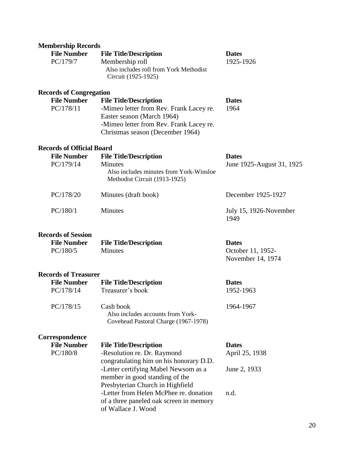| <b>Membership Records</b>        |                                                                                                                                                       |                                        |
|----------------------------------|-------------------------------------------------------------------------------------------------------------------------------------------------------|----------------------------------------|
| <b>File Number</b>               | <b>File Title/Description</b>                                                                                                                         | <b>Dates</b>                           |
| PC/179/7                         | Membership roll<br>Also includes roll from York Methodist<br>Circuit (1925-1925)                                                                      | 1925-1926                              |
| <b>Records of Congregation</b>   |                                                                                                                                                       |                                        |
| <b>File Number</b>               | <b>File Title/Description</b>                                                                                                                         | <b>Dates</b>                           |
| PC/178/11                        | -Mimeo letter from Rev. Frank Lacey re.<br>Easter season (March 1964)<br>-Mimeo letter from Rev. Frank Lacey re.<br>Christmas season (December 1964)  | 1964                                   |
| <b>Records of Official Board</b> |                                                                                                                                                       |                                        |
| <b>File Number</b>               | <b>File Title/Description</b>                                                                                                                         | <b>Dates</b>                           |
| PC/179/14                        | Minutes<br>Also includes minutes from York-Winsloe<br>Methodist Circuit (1913-1925)                                                                   | June 1925-August 31, 1925              |
| PC/178/20                        | Minutes (draft book)                                                                                                                                  | December 1925-1927                     |
| PC/180/1                         | <b>Minutes</b>                                                                                                                                        | July 15, 1926-November<br>1949         |
| <b>Records of Session</b>        |                                                                                                                                                       |                                        |
| <b>File Number</b>               | <b>File Title/Description</b>                                                                                                                         | <b>Dates</b>                           |
| PC/180/5                         | <b>Minutes</b>                                                                                                                                        | October 11, 1952-<br>November 14, 1974 |
| <b>Records of Treasurer</b>      |                                                                                                                                                       |                                        |
| <b>File Number</b>               | <b>File Title/Description</b>                                                                                                                         | <b>Dates</b>                           |
| PC/178/14                        | Treasurer's book                                                                                                                                      | 1952-1963                              |
| PC/178/15                        | Cash book<br>Also includes accounts from York-<br>Covehead Pastoral Charge (1967-1978)                                                                | 1964-1967                              |
| Correspondence                   |                                                                                                                                                       |                                        |
| <b>File Number</b>               | <b>File Title/Description</b>                                                                                                                         | <b>Dates</b>                           |
| PC/180/8                         | -Resolution re. Dr. Raymond                                                                                                                           | April 25, 1938                         |
|                                  | congratulating him on his honorary D.D.<br>-Letter certifying Mabel Newsom as a<br>member in good standing of the<br>Presbyterian Church in Highfield | June 2, 1933                           |
|                                  | -Letter from Helen McPhee re. donation<br>of a three paneled oak screen in memory<br>of Wallace J. Wood                                               | n.d.                                   |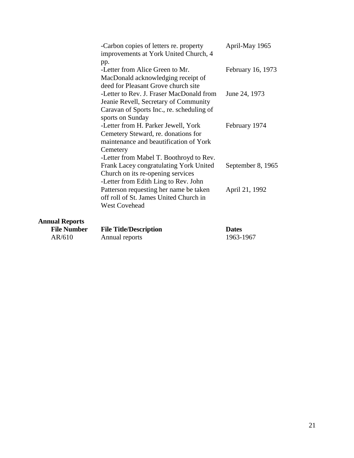|                       | -Carbon copies of letters re. property<br>improvements at York United Church, 4                                                                                | April-May 1965    |
|-----------------------|----------------------------------------------------------------------------------------------------------------------------------------------------------------|-------------------|
|                       | pp.<br>-Letter from Alice Green to Mr.<br>MacDonald acknowledging receipt of<br>deed for Pleasant Grove church site                                            | February 16, 1973 |
|                       | -Letter to Rev. J. Fraser MacDonald from<br>Jeanie Revell, Secretary of Community<br>Caravan of Sports Inc., re. scheduling of<br>sports on Sunday             | June 24, 1973     |
|                       | -Letter from H. Parker Jewell, York<br>Cemetery Steward, re. donations for<br>maintenance and beautification of York<br>Cemetery                               | February 1974     |
|                       | -Letter from Mabel T. Boothroyd to Rev.<br>Frank Lacey congratulating York United<br>Church on its re-opening services<br>-Letter from Edith Ling to Rev. John | September 8, 1965 |
|                       | Patterson requesting her name be taken<br>off roll of St. James United Church in<br><b>West Covehead</b>                                                       | April 21, 1992    |
| <b>Annual Reports</b> |                                                                                                                                                                |                   |

| <b>File Number</b> | <b>File Title/Description</b> | <b>Dates</b> |
|--------------------|-------------------------------|--------------|
| AR/610             | Annual reports                | 1963-1967    |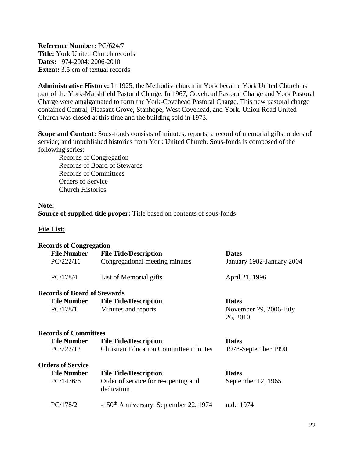<span id="page-21-0"></span>**Reference Number:** PC/624/7 **Title:** York United Church records **Dates:** 1974-2004; 2006-2010 **Extent:** 3.5 cm of textual records

**Administrative History:** In 1925, the Methodist church in York became York United Church as part of the York-Marshfield Pastoral Charge. In 1967, Covehead Pastoral Charge and York Pastoral Charge were amalgamated to form the York-Covehead Pastoral Charge. This new pastoral charge contained Central, Pleasant Grove, Stanhope, West Covehead, and York. Union Road United Church was closed at this time and the building sold in 1973.

**Scope and Content:** Sous-fonds consists of minutes; reports; a record of memorial gifts; orders of service; and unpublished histories from York United Church. Sous-fonds is composed of the following series:

Records of Congregation Records of Board of Stewards Records of Committees Orders of Service Church Histories

#### **Note:**

**Source of supplied title proper:** Title based on contents of sous-fonds

| <b>Records of Congregation</b>      |                                                      |                           |
|-------------------------------------|------------------------------------------------------|---------------------------|
| <b>File Number</b>                  | <b>File Title/Description</b>                        | <b>Dates</b>              |
| PC/222/11                           | Congregational meeting minutes                       | January 1982-January 2004 |
| PC/178/4                            | List of Memorial gifts                               | April 21, 1996            |
| <b>Records of Board of Stewards</b> |                                                      |                           |
| <b>File Number</b>                  | <b>File Title/Description</b>                        | <b>Dates</b>              |
| PC/178/1                            | Minutes and reports                                  | November 29, 2006-July    |
|                                     |                                                      | 26, 2010                  |
| <b>Records of Committees</b>        |                                                      |                           |
| <b>File Number</b>                  | <b>File Title/Description</b>                        | <b>Dates</b>              |
| PC/222/12                           | <b>Christian Education Committee minutes</b>         | 1978-September 1990       |
| <b>Orders of Service</b>            |                                                      |                           |
| <b>File Number</b>                  | <b>File Title/Description</b>                        | <b>Dates</b>              |
| PC/1476/6                           | Order of service for re-opening and<br>dedication    | September 12, 1965        |
| PC/178/2                            | $-150$ <sup>th</sup> Anniversary, September 22, 1974 | n.d.; 1974                |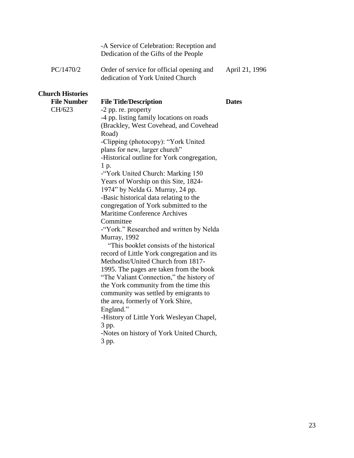|                         | -A Service of Celebration: Reception and<br>Dedication of the Gifts of the People |                |
|-------------------------|-----------------------------------------------------------------------------------|----------------|
| PC/1470/2               | Order of service for official opening and<br>dedication of York United Church     | April 21, 1996 |
| <b>Church Histories</b> |                                                                                   |                |
| <b>File Number</b>      | <b>File Title/Description</b>                                                     | <b>Dates</b>   |
| CH/623                  | -2 pp. re. property                                                               |                |
|                         | -4 pp. listing family locations on roads                                          |                |
|                         | (Brackley, West Covehead, and Covehead                                            |                |
|                         | Road)                                                                             |                |
|                         | -Clipping (photocopy): "York United                                               |                |
|                         | plans for new, larger church"                                                     |                |
|                         | -Historical outline for York congregation,                                        |                |
|                         | 1 p.                                                                              |                |
|                         | -"York United Church: Marking 150                                                 |                |
|                         | Years of Worship on this Site, 1824-                                              |                |
|                         | 1974" by Nelda G. Murray, 24 pp.                                                  |                |
|                         | -Basic historical data relating to the                                            |                |
|                         | congregation of York submitted to the<br><b>Maritime Conference Archives</b>      |                |
|                         | Committee                                                                         |                |
|                         | -"York." Researched and written by Nelda                                          |                |
|                         | Murray, 1992                                                                      |                |
|                         | "This booklet consists of the historical"                                         |                |
|                         | record of Little York congregation and its                                        |                |
|                         | Methodist/United Church from 1817-                                                |                |
|                         | 1995. The pages are taken from the book                                           |                |
|                         | "The Valiant Connection," the history of                                          |                |
|                         | the York community from the time this                                             |                |
|                         | community was settled by emigrants to                                             |                |
|                         | the area, formerly of York Shire,                                                 |                |
|                         | England."                                                                         |                |
|                         | -History of Little York Wesleyan Chapel,                                          |                |
|                         | 3 pp.                                                                             |                |
|                         | -Notes on history of York United Church,                                          |                |
|                         | 3 pp.                                                                             |                |
|                         |                                                                                   |                |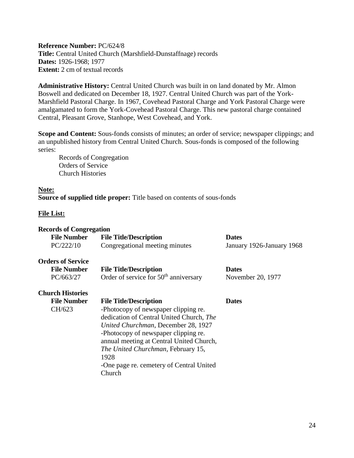<span id="page-23-0"></span>**Reference Number:** PC/624/8 **Title:** Central United Church (Marshfield-Dunstaffnage) records **Dates:** 1926-1968; 1977 **Extent:** 2 cm of textual records

**Administrative History:** Central United Church was built in on land donated by Mr. Almon Boswell and dedicated on December 18, 1927. Central United Church was part of the York-Marshfield Pastoral Charge. In 1967, Covehead Pastoral Charge and York Pastoral Charge were amalgamated to form the York-Covehead Pastoral Charge. This new pastoral charge contained Central, Pleasant Grove, Stanhope, West Covehead, and York.

**Scope and Content:** Sous-fonds consists of minutes; an order of service; newspaper clippings; and an unpublished history from Central United Church. Sous-fonds is composed of the following series:

Records of Congregation Orders of Service Church Histories

#### **Note:**

**Source of supplied title proper:** Title based on contents of sous-fonds

| <b>Records of Congregation</b> |                                                   |                           |
|--------------------------------|---------------------------------------------------|---------------------------|
| <b>File Number</b>             | <b>File Title/Description</b>                     | <b>Dates</b>              |
| PC/222/10                      | Congregational meeting minutes                    | January 1926-January 1968 |
| <b>Orders of Service</b>       |                                                   |                           |
| <b>File Number</b>             | <b>File Title/Description</b>                     | <b>Dates</b>              |
| PC/663/27                      | Order of service for 50 <sup>th</sup> anniversary | November 20, 1977         |
| <b>Church Histories</b>        |                                                   |                           |
| <b>File Number</b>             | <b>File Title/Description</b>                     | <b>Dates</b>              |
| CH/623                         | -Photocopy of newspaper clipping re.              |                           |
|                                | dedication of Central United Church, The          |                           |
|                                | United Churchman, December 28, 1927               |                           |
|                                | -Photocopy of newspaper clipping re.              |                           |
|                                | annual meeting at Central United Church,          |                           |
|                                | The United Churchman, February 15,                |                           |
|                                | 1928                                              |                           |
|                                | -One page re. cemetery of Central United          |                           |
|                                | Church                                            |                           |
|                                |                                                   |                           |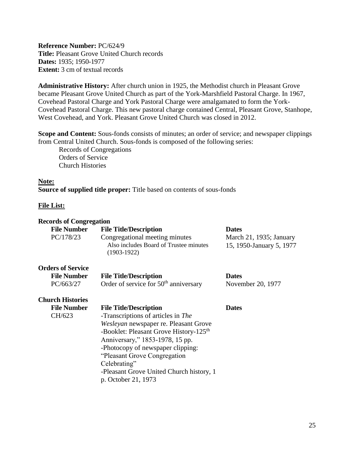<span id="page-24-0"></span>**Reference Number:** PC/624/9 **Title:** Pleasant Grove United Church records **Dates:** 1935; 1950-1977 **Extent:** 3 cm of textual records

**Administrative History:** After church union in 1925, the Methodist church in Pleasant Grove became Pleasant Grove United Church as part of the York-Marshfield Pastoral Charge. In 1967, Covehead Pastoral Charge and York Pastoral Charge were amalgamated to form the York-Covehead Pastoral Charge. This new pastoral charge contained Central, Pleasant Grove, Stanhope, West Covehead, and York. Pleasant Grove United Church was closed in 2012.

**Scope and Content:** Sous-fonds consists of minutes; an order of service; and newspaper clippings from Central United Church. Sous-fonds is composed of the following series: Records of Congregations

Orders of Service Church Histories

#### **Note:**

**Source of supplied title proper:** Title based on contents of sous-fonds

| <b>Records of Congregation</b> |                                                                                           |                                                     |
|--------------------------------|-------------------------------------------------------------------------------------------|-----------------------------------------------------|
| <b>File Number</b>             | <b>File Title/Description</b>                                                             | <b>Dates</b>                                        |
| PC/178/23                      | Congregational meeting minutes<br>Also includes Board of Trustee minutes<br>$(1903-1922)$ | March 21, 1935; January<br>15, 1950-January 5, 1977 |
| <b>Orders of Service</b>       |                                                                                           |                                                     |
| <b>File Number</b>             | <b>File Title/Description</b>                                                             | <b>Dates</b>                                        |
| PC/663/27                      | Order of service for 50 <sup>th</sup> anniversary                                         | November 20, 1977                                   |
| <b>Church Histories</b>        |                                                                                           |                                                     |
| <b>File Number</b>             | <b>File Title/Description</b>                                                             | <b>Dates</b>                                        |
| CH/623                         | -Transcriptions of articles in The                                                        |                                                     |
|                                | Wesleyan newspaper re. Pleasant Grove                                                     |                                                     |
|                                | -Booklet: Pleasant Grove History-125 <sup>th</sup>                                        |                                                     |
|                                | Anniversary," 1853-1978, 15 pp.                                                           |                                                     |
|                                | -Photocopy of newspaper clipping:                                                         |                                                     |
|                                | "Pleasant Grove Congregation"                                                             |                                                     |
|                                | Celebrating"                                                                              |                                                     |
|                                | -Pleasant Grove United Church history, 1                                                  |                                                     |
|                                | p. October 21, 1973                                                                       |                                                     |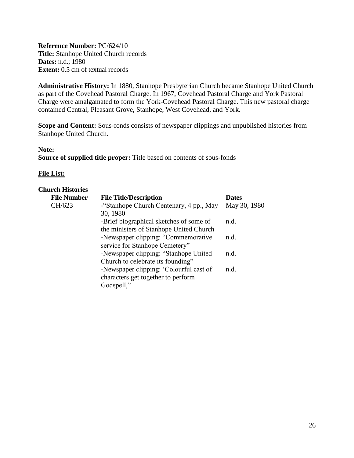<span id="page-25-0"></span>**Reference Number:** PC/624/10 **Title:** Stanhope United Church records **Dates:** n.d.; 1980 **Extent:** 0.5 cm of textual records

**Administrative History:** In 1880, Stanhope Presbyterian Church became Stanhope United Church as part of the Covehead Pastoral Charge. In 1967, Covehead Pastoral Charge and York Pastoral Charge were amalgamated to form the York-Covehead Pastoral Charge. This new pastoral charge contained Central, Pleasant Grove, Stanhope, West Covehead, and York.

**Scope and Content:** Sous-fonds consists of newspaper clippings and unpublished histories from Stanhope United Church.

## **Note: Source of supplied title proper:** Title based on contents of sous-fonds

| <b>Church Histories</b> |                                                                                             |              |
|-------------------------|---------------------------------------------------------------------------------------------|--------------|
| <b>File Number</b>      | <b>File Title/Description</b>                                                               | <b>Dates</b> |
| CH/623                  | -"Stanhope Church Centenary, 4 pp., May<br>30, 1980                                         | May 30, 1980 |
|                         | -Brief biographical sketches of some of<br>the ministers of Stanhope United Church          | n.d.         |
|                         | -Newspaper clipping: "Commemorative<br>service for Stanhope Cemetery"                       | n.d.         |
|                         | -Newspaper clipping: "Stanhope United<br>Church to celebrate its founding"                  | n.d.         |
|                         | -Newspaper clipping: 'Colourful cast of<br>characters get together to perform<br>Godspell," | n.d.         |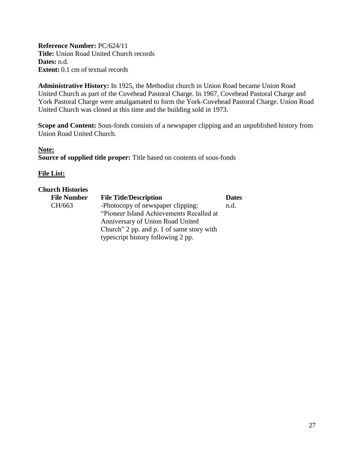<span id="page-26-0"></span>**Reference Number:** PC/624/11 **Title:** Union Road United Church records **Dates:** n.d. **Extent:** 0.1 cm of textual records

**Administrative History:** In 1925, the Methodist church in Union Road became Union Road United Church as part of the Covehead Pastoral Charge. In 1967, Covehead Pastoral Charge and York Pastoral Charge were amalgamated to form the York-Covehead Pastoral Charge. Union Road United Church was closed at this time and the building sold in 1973.

**Scope and Content:** Sous-fonds consists of a newspaper clipping and an unpublished history from Union Road United Church.

**Note: Source of supplied title proper:** Title based on contents of sous-fonds

## **File List:**

#### **Church Histories**

| <b>File Number</b> | <b>File Title/Description</b>             | <b>Dates</b> |
|--------------------|-------------------------------------------|--------------|
| CH/663             | -Photocopy of newspaper clipping:         | n.d.         |
|                    | "Pioneer Island Achievements Recalled at  |              |
|                    | Anniversary of Union Road United          |              |
|                    | Church" 2 pp. and p. 1 of same story with |              |
|                    | typescript history following 2 pp.        |              |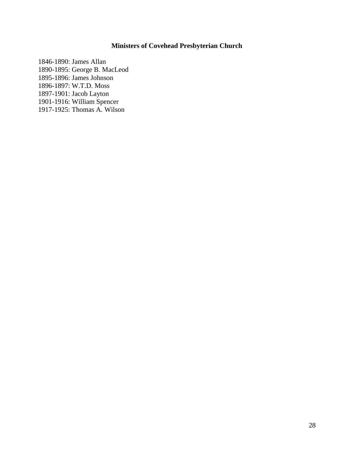## **Ministers of Covehead Presbyterian Church**

<span id="page-27-0"></span>1846-1890: James Allan 1890-1895: George B. MacLeod 1895-1896: James Johnson 1896-1897: W.T.D. Moss 1897-1901: Jacob Layton 1901-1916: William Spencer 1917-1925: Thomas A. Wilson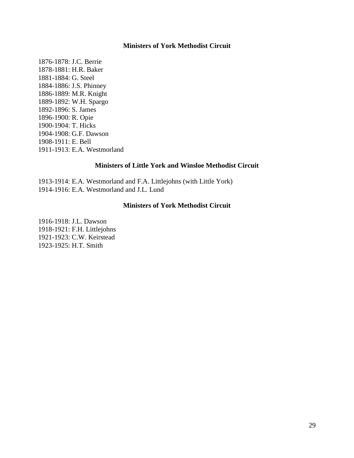#### **Ministers of York Methodist Circuit**

<span id="page-28-0"></span>1876-1878: J.C. Berrie 1878-1881: H.R. Baker 1881-1884: G. Steel 1884-1886: J.S. Phinney 1886-1889: M.R. Knight 1889-1892: W.H. Spargo 1892-1896: S. James 1896-1900: R. Opie 1900-1904: T. Hicks 1904-1908: G.F. Dawson 1908-1911: E. Bell 1911-1913: E.A. Westmorland

#### **Ministers of Little York and Winsloe Methodist Circuit**

<span id="page-28-1"></span>1913-1914: E.A. Westmorland and F.A. Littlejohns (with Little York) 1914-1916: E.A. Westmorland and J.L. Lund

#### **Ministers of York Methodist Circuit**

1916-1918: J.L. Dawson 1918-1921: F.H. Littlejohns 1921-1923: C.W. Keirstead 1923-1925: H.T. Smith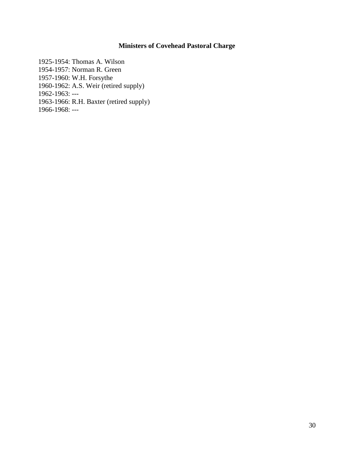## **Ministers of Covehead Pastoral Charge**

<span id="page-29-0"></span>1925-1954: Thomas A. Wilson 1954-1957: Norman R. Green 1957-1960: W.H. Forsythe 1960-1962: A.S. Weir (retired supply) 1962-1963: --- 1963-1966: R.H. Baxter (retired supply) 1966-1968: ---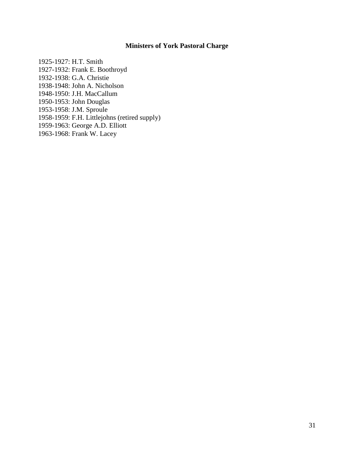## **Ministers of York Pastoral Charge**

1925-1927: H.T. Smith 1927-1932: Frank E. Boothroyd 1932-1938: G.A. Christie 1938-1948: John A. Nicholson 1948-1950: J.H. MacCallum 1950-1953: John Douglas 1953-1958: J.M. Sproule 1958-1959: F.H. Littlejohns (retired supply) 1959-1963: George A.D. Elliott 1963-1968: Frank W. Lacey